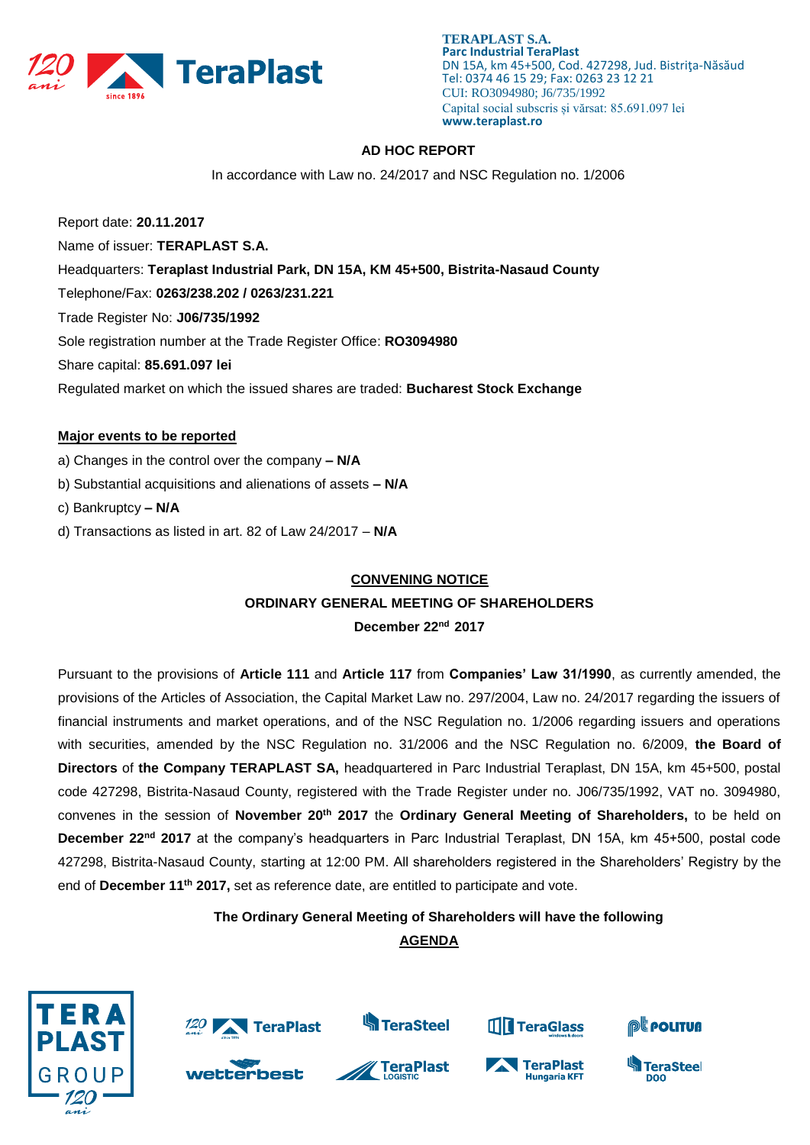

# **AD HOC REPORT**

In accordance with Law no. 24/2017 and NSC Regulation no. 1/2006

Report date: **20.11.2017** Name of issuer: **TERAPLAST S.A.**  Headquarters: **Teraplast Industrial Park, DN 15A, KM 45+500, Bistrita-Nasaud County** Telephone/Fax: **0263/238.202 / 0263/231.221** Trade Register No: **J06/735/1992** Sole registration number at the Trade Register Office: **RO3094980** Share capital: **85.691.097 lei**  Regulated market on which the issued shares are traded: **Bucharest Stock Exchange**

### **Major events to be reported**

- a) Changes in the control over the company **– N/A**
- b) Substantial acquisitions and alienations of assets **– N/A**
- c) Bankruptcy **– N/A**
- d) Transactions as listed in art. 82 of Law 24/2017 **N/A**

#### **CONVENING NOTICE**

## **ORDINARY GENERAL MEETING OF SHAREHOLDERS**

**December 22 nd 2017**

Pursuant to the provisions of **Article 111** and **Article 117** from **Companies' Law 31/1990**, as currently amended, the provisions of the Articles of Association, the Capital Market Law no. 297/2004, Law no. 24/2017 regarding the issuers of financial instruments and market operations, and of the NSC Regulation no. 1/2006 regarding issuers and operations with securities, amended by the NSC Regulation no. 31/2006 and the NSC Regulation no. 6/2009, **the Board of Directors** of **the Company TERAPLAST SA,** headquartered in Parc Industrial Teraplast, DN 15A, km 45+500, postal code 427298, Bistrita-Nasaud County, registered with the Trade Register under no. J06/735/1992, VAT no. 3094980, convenes in the session of **November 20th 2017** the **Ordinary General Meeting of Shareholders,** to be held on December 22<sup>nd</sup> 2017 at the company's headquarters in Parc Industrial Teraplast, DN 15A, km 45+500, postal code 427298, Bistrita-Nasaud County, starting at 12:00 PM. All shareholders registered in the Shareholders' Registry by the end of **December 11th 2017,** set as reference date, are entitled to participate and vote.

# **The Ordinary General Meeting of Shareholders will have the following**

# **AGENDA**

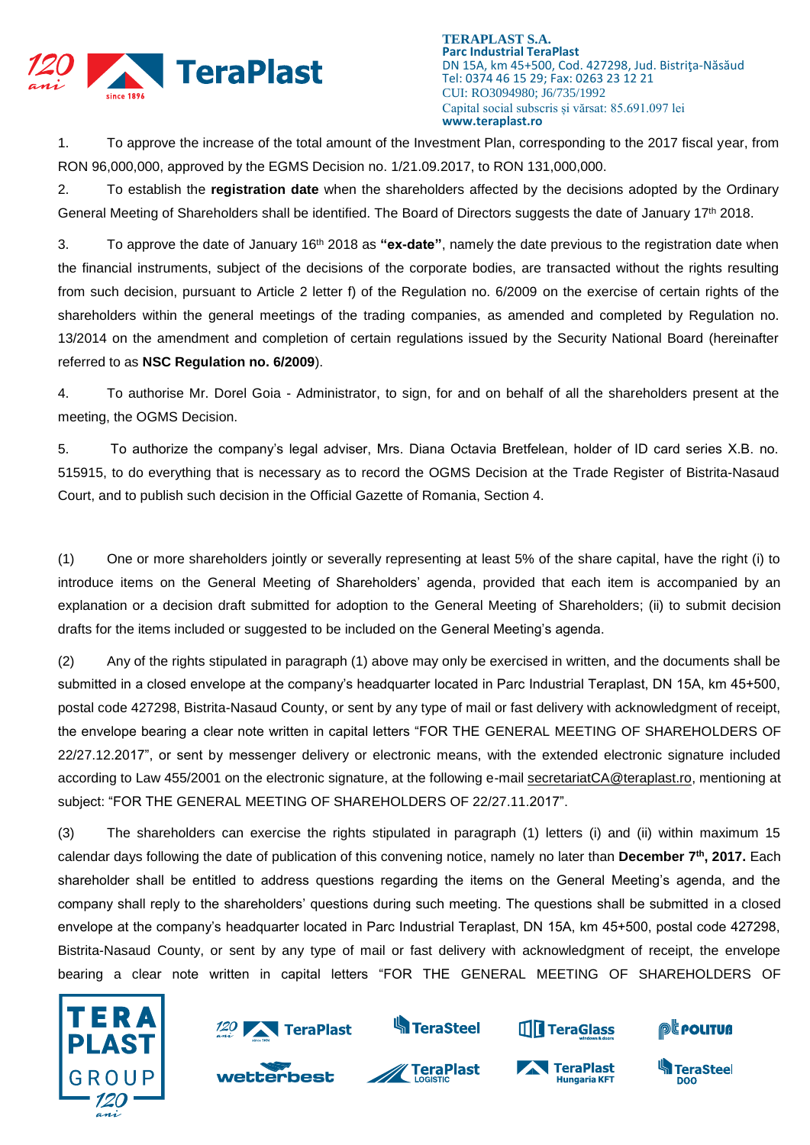

1. To approve the increase of the total amount of the Investment Plan, corresponding to the 2017 fiscal year, from RON 96,000,000, approved by the EGMS Decision no. 1/21.09.2017, to RON 131,000,000.

2. To establish the **registration date** when the shareholders affected by the decisions adopted by the Ordinary General Meeting of Shareholders shall be identified. The Board of Directors suggests the date of January 17<sup>th</sup> 2018.

3. To approve the date of January 16<sup>th</sup> 2018 as "ex-date", namely the date previous to the registration date when the financial instruments, subject of the decisions of the corporate bodies, are transacted without the rights resulting from such decision, pursuant to Article 2 letter f) of the Regulation no. 6/2009 on the exercise of certain rights of the shareholders within the general meetings of the trading companies, as amended and completed by Regulation no. 13/2014 on the amendment and completion of certain regulations issued by the Security National Board (hereinafter referred to as **NSC Regulation no. 6/2009**).

4. To authorise Mr. Dorel Goia - Administrator, to sign, for and on behalf of all the shareholders present at the meeting, the OGMS Decision.

5. To authorize the company's legal adviser, Mrs. Diana Octavia Bretfelean, holder of ID card series X.B. no. 515915, to do everything that is necessary as to record the OGMS Decision at the Trade Register of Bistrita-Nasaud Court, and to publish such decision in the Official Gazette of Romania, Section 4.

(1) One or more shareholders jointly or severally representing at least 5% of the share capital, have the right (i) to introduce items on the General Meeting of Shareholders' agenda, provided that each item is accompanied by an explanation or a decision draft submitted for adoption to the General Meeting of Shareholders; (ii) to submit decision drafts for the items included or suggested to be included on the General Meeting's agenda.

(2) Any of the rights stipulated in paragraph (1) above may only be exercised in written, and the documents shall be submitted in a closed envelope at the company's headquarter located in Parc Industrial Teraplast, DN 15A, km 45+500, postal code 427298, Bistrita-Nasaud County, or sent by any type of mail or fast delivery with acknowledgment of receipt, the envelope bearing a clear note written in capital letters "FOR THE GENERAL MEETING OF SHAREHOLDERS OF 22/27.12.2017", or sent by messenger delivery or electronic means, with the extended electronic signature included according to Law 455/2001 on the electronic signature, at the following e-mail [secretariatCA@teraplast.ro,](mailto:secretariatCA@teraplast.ro) mentioning at subject: "FOR THE GENERAL MEETING OF SHAREHOLDERS OF 22/27.11.2017".

(3) The shareholders can exercise the rights stipulated in paragraph (1) letters (i) and (ii) within maximum 15 calendar days following the date of publication of this convening notice, namely no later than **December 7 th, 2017.** Each shareholder shall be entitled to address questions regarding the items on the General Meeting's agenda, and the company shall reply to the shareholders' questions during such meeting. The questions shall be submitted in a closed envelope at the company's headquarter located in Parc Industrial Teraplast, DN 15A, km 45+500, postal code 427298, Bistrita-Nasaud County, or sent by any type of mail or fast delivery with acknowledgment of receipt, the envelope bearing a clear note written in capital letters "FOR THE GENERAL MEETING OF SHAREHOLDERS OF



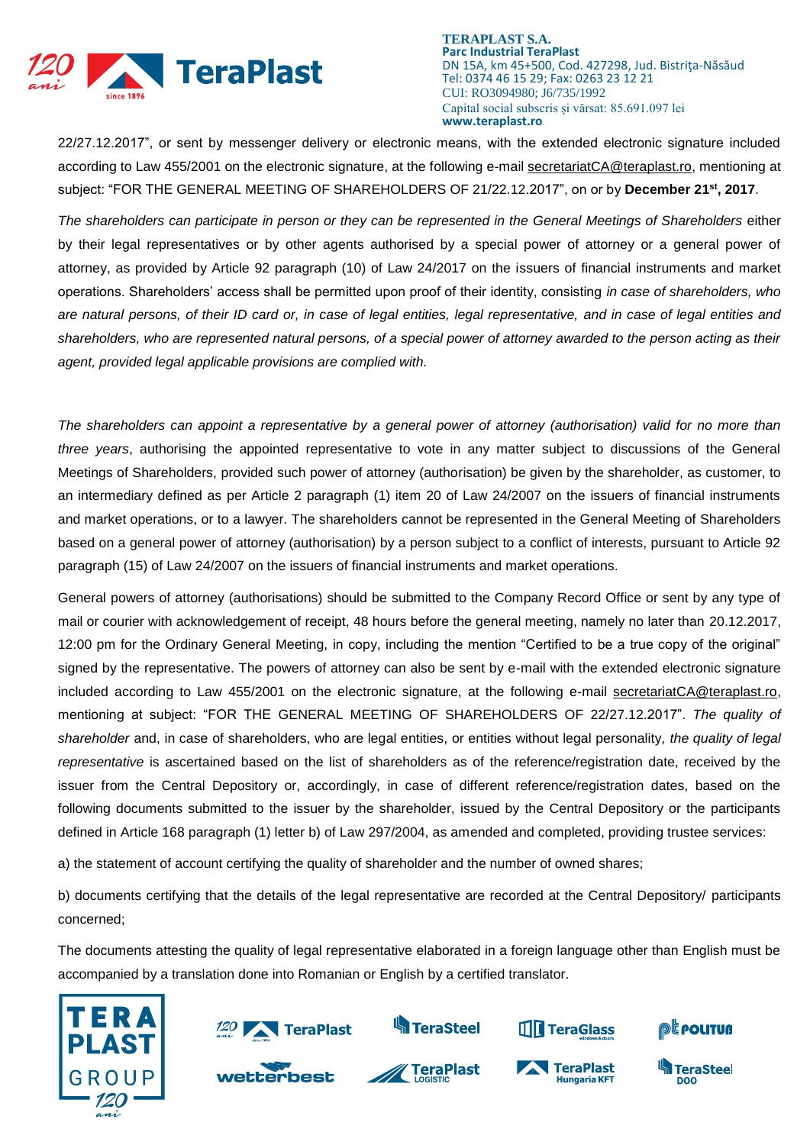

22/27.12.2017", or sent by messenger delivery or electronic means, with the extended electronic signature included according to Law 455/2001 on the electronic signature, at the following e-mail [secretariatCA@teraplast.ro,](mailto:secretariatCA@teraplast.ro) mentioning at subject: "FOR THE GENERAL MEETING OF SHAREHOLDERS OF 21/22.12.2017", on or by **December 21 st, 2017**.

*The shareholders can participate in person or they can be represented in the General Meetings of Shareholders* either by their legal representatives or by other agents authorised by a special power of attorney or a general power of attorney, as provided by Article 92 paragraph (10) of Law 24/2017 on the issuers of financial instruments and market operations. Shareholders' access shall be permitted upon proof of their identity, consisting *in case of shareholders, who are natural persons, of their ID card or, in case of legal entities, legal representative, and in case of legal entities and shareholders, who are represented natural persons, of a special power of attorney awarded to the person acting as their agent, provided legal applicable provisions are complied with.*

*The shareholders can appoint a representative by a general power of attorney (authorisation) valid for no more than three years*, authorising the appointed representative to vote in any matter subject to discussions of the General Meetings of Shareholders, provided such power of attorney (authorisation) be given by the shareholder, as customer, to an intermediary defined as per Article 2 paragraph (1) item 20 of Law 24/2007 on the issuers of financial instruments and market operations, or to a lawyer. The shareholders cannot be represented in the General Meeting of Shareholders based on a general power of attorney (authorisation) by a person subject to a conflict of interests, pursuant to Article 92 paragraph (15) of Law 24/2007 on the issuers of financial instruments and market operations.

General powers of attorney (authorisations) should be submitted to the Company Record Office or sent by any type of mail or courier with acknowledgement of receipt, 48 hours before the general meeting, namely no later than 20.12.2017, 12:00 pm for the Ordinary General Meeting, in copy, including the mention "Certified to be a true copy of the original" signed by the representative. The powers of attorney can also be sent by e-mail with the extended electronic signature included according to Law 455/2001 on the electronic signature, at the following e-mail [secretariatCA@teraplast.ro,](mailto:secretariatCA@teraplast.ro) mentioning at subject: "FOR THE GENERAL MEETING OF SHAREHOLDERS OF 22/27.12.2017". *The quality of shareholder* and, in case of shareholders, who are legal entities, or entities without legal personality, *the quality of legal representative* is ascertained based on the list of shareholders as of the reference/registration date, received by the issuer from the Central Depository or, accordingly, in case of different reference/registration dates, based on the following documents submitted to the issuer by the shareholder, issued by the Central Depository or the participants defined in Article 168 paragraph (1) letter b) of Law 297/2004, as amended and completed, providing trustee services:

a) the statement of account certifying the quality of shareholder and the number of owned shares;

b) documents certifying that the details of the legal representative are recorded at the Central Depository/ participants concerned;

The documents attesting the quality of legal representative elaborated in a foreign language other than English must be accompanied by a translation done into Romanian or English by a certified translator.

















**DOO**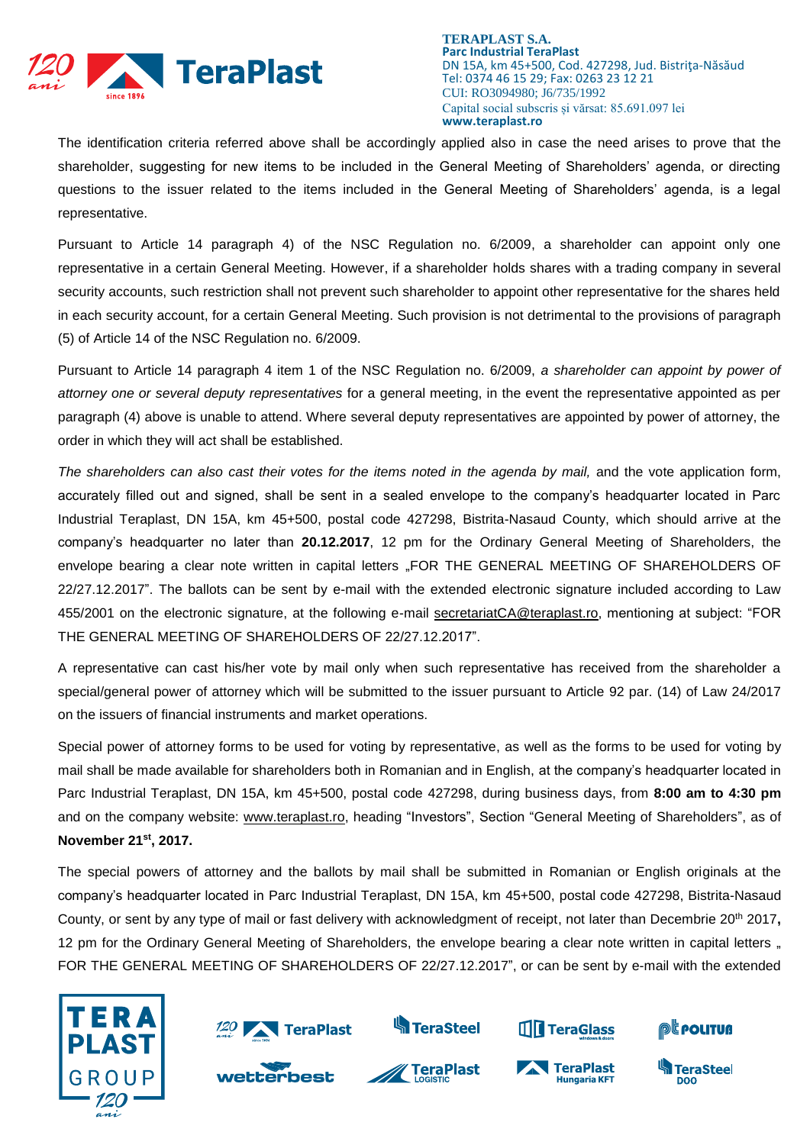

The identification criteria referred above shall be accordingly applied also in case the need arises to prove that the shareholder, suggesting for new items to be included in the General Meeting of Shareholders' agenda, or directing questions to the issuer related to the items included in the General Meeting of Shareholders' agenda, is a legal representative.

Pursuant to Article 14 paragraph 4) of the NSC Regulation no. 6/2009, a shareholder can appoint only one representative in a certain General Meeting. However, if a shareholder holds shares with a trading company in several security accounts, such restriction shall not prevent such shareholder to appoint other representative for the shares held in each security account, for a certain General Meeting. Such provision is not detrimental to the provisions of paragraph (5) of Article 14 of the NSC Regulation no. 6/2009.

Pursuant to Article 14 paragraph 4 item 1 of the NSC Regulation no. 6/2009, *a shareholder can appoint by power of attorney one or several deputy representatives* for a general meeting, in the event the representative appointed as per paragraph (4) above is unable to attend. Where several deputy representatives are appointed by power of attorney, the order in which they will act shall be established.

The shareholders can also cast their votes for the items noted in the agenda by mail, and the vote application form, accurately filled out and signed, shall be sent in a sealed envelope to the company's headquarter located in Parc Industrial Teraplast, DN 15A, km 45+500, postal code 427298, Bistrita-Nasaud County, which should arrive at the company's headquarter no later than **20.12.2017**, 12 pm for the Ordinary General Meeting of Shareholders, the envelope bearing a clear note written in capital letters "FOR THE GENERAL MEETING OF SHAREHOLDERS OF 22/27.12.2017". The ballots can be sent by e-mail with the extended electronic signature included according to Law 455/2001 on the electronic signature, at the following e-mail [secretariatCA@teraplast.ro,](mailto:secretariatCA@teraplast.ro) mentioning at subject: "FOR THE GENERAL MEETING OF SHAREHOLDERS OF 22/27.12.2017".

A representative can cast his/her vote by mail only when such representative has received from the shareholder a special/general power of attorney which will be submitted to the issuer pursuant to Article 92 par. (14) of Law 24/2017 on the issuers of financial instruments and market operations.

Special power of attorney forms to be used for voting by representative, as well as the forms to be used for voting by mail shall be made available for shareholders both in Romanian and in English, at the company's headquarter located in Parc Industrial Teraplast, DN 15A, km 45+500, postal code 427298, during business days, from **8:00 am to 4:30 pm** and on the company website: [www.teraplast.ro,](http://www.teraplast.ro/) heading "Investors", Section "General Meeting of Shareholders", as of **November 21st , 2017.**

The special powers of attorney and the ballots by mail shall be submitted in Romanian or English originals at the company's headquarter located in Parc Industrial Teraplast, DN 15A, km 45+500, postal code 427298, Bistrita-Nasaud County, or sent by any type of mail or fast delivery with acknowledgment of receipt, not later than Decembrie 20th 2017**,** 12 pm for the Ordinary General Meeting of Shareholders, the envelope bearing a clear note written in capital letters " FOR THE GENERAL MEETING OF SHAREHOLDERS OF 22/27.12.2017", or can be sent by e-mail with the extended